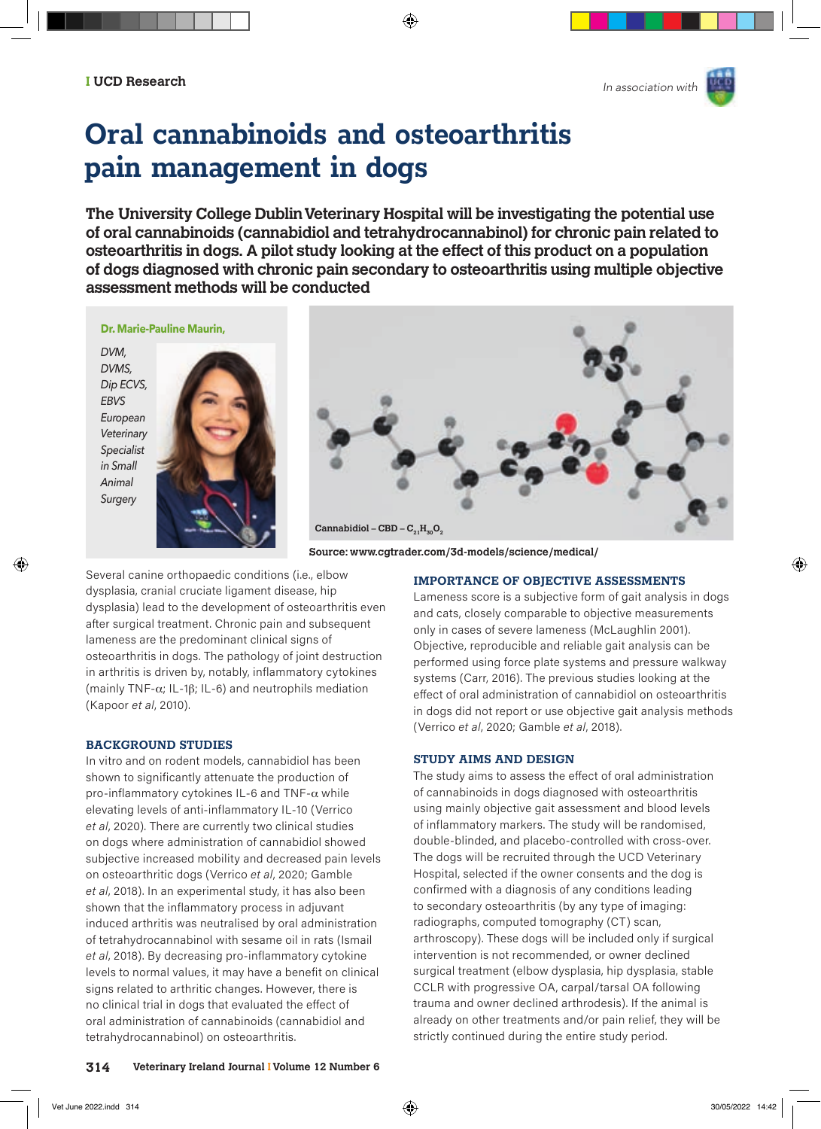## **Oral cannabinoids and osteoarthritis pain management in dogs**

**The University College Dublin Veterinary Hospital will be investigating the potential use of oral cannabinoids (cannabidiol and tetrahydrocannabinol) for chronic pain related to osteoarthritis in dogs. A pilot study looking at the effect of this product on a population of dogs diagnosed with chronic pain secondary to osteoarthritis using multiple objective assessment methods will be conducted**

**Dr. Marie-Pauline Maurin,** 

*DVM, DVMS, Dip ECVS, EBVS European Veterinary Specialist in Small Animal Surgery*





**Source: www.cgtrader.com/3d-models/science/medical/**

**IMPORTANCE OF OBJECTIVE ASSESSMENTS**

Several canine orthopaedic conditions (i.e., elbow dysplasia, cranial cruciate ligament disease, hip dysplasia) lead to the development of osteoarthritis even after surgical treatment. Chronic pain and subsequent lameness are the predominant clinical signs of osteoarthritis in dogs. The pathology of joint destruction in arthritis is driven by, notably, inflammatory cytokines (mainly TNF-α; IL-1β; IL-6) and neutrophils mediation (Kapoor *et al*, 2010).

## **BACKGROUND STUDIES**

In vitro and on rodent models, cannabidiol has been shown to significantly attenuate the production of pro-inflammatory cytokines IL-6 and TNF- $\alpha$  while elevating levels of anti-inflammatory IL-10 (Verrico *et al*, 2020). There are currently two clinical studies on dogs where administration of cannabidiol showed subjective increased mobility and decreased pain levels on osteoarthritic dogs (Verrico *et al*, 2020; Gamble *et al*, 2018). In an experimental study, it has also been shown that the inflammatory process in adjuvant induced arthritis was neutralised by oral administration of tetrahydrocannabinol with sesame oil in rats (Ismail *et al*, 2018). By decreasing pro-inflammatory cytokine levels to normal values, it may have a benefit on clinical signs related to arthritic changes. However, there is no clinical trial in dogs that evaluated the effect of oral administration of cannabinoids (cannabidiol and tetrahydrocannabinol) on osteoarthritis.

Lameness score is a subjective form of gait analysis in dogs and cats, closely comparable to objective measurements only in cases of severe lameness (McLaughlin 2001). Objective, reproducible and reliable gait analysis can be performed using force plate systems and pressure walkway systems (Carr, 2016). The previous studies looking at the effect of oral administration of cannabidiol on osteoarthritis in dogs did not report or use objective gait analysis methods (Verrico *et al*, 2020; Gamble *et al*, 2018).

## **STUDY AIMS AND DESIGN**

The study aims to assess the effect of oral administration of cannabinoids in dogs diagnosed with osteoarthritis using mainly objective gait assessment and blood levels of inflammatory markers. The study will be randomised, double-blinded, and placebo-controlled with cross-over. The dogs will be recruited through the UCD Veterinary Hospital, selected if the owner consents and the dog is confirmed with a diagnosis of any conditions leading to secondary osteoarthritis (by any type of imaging: radiographs, computed tomography (CT) scan, arthroscopy). These dogs will be included only if surgical intervention is not recommended, or owner declined surgical treatment (elbow dysplasia, hip dysplasia, stable CCLR with progressive OA, carpal/tarsal OA following trauma and owner declined arthrodesis). If the animal is already on other treatments and/or pain relief, they will be strictly continued during the entire study period.